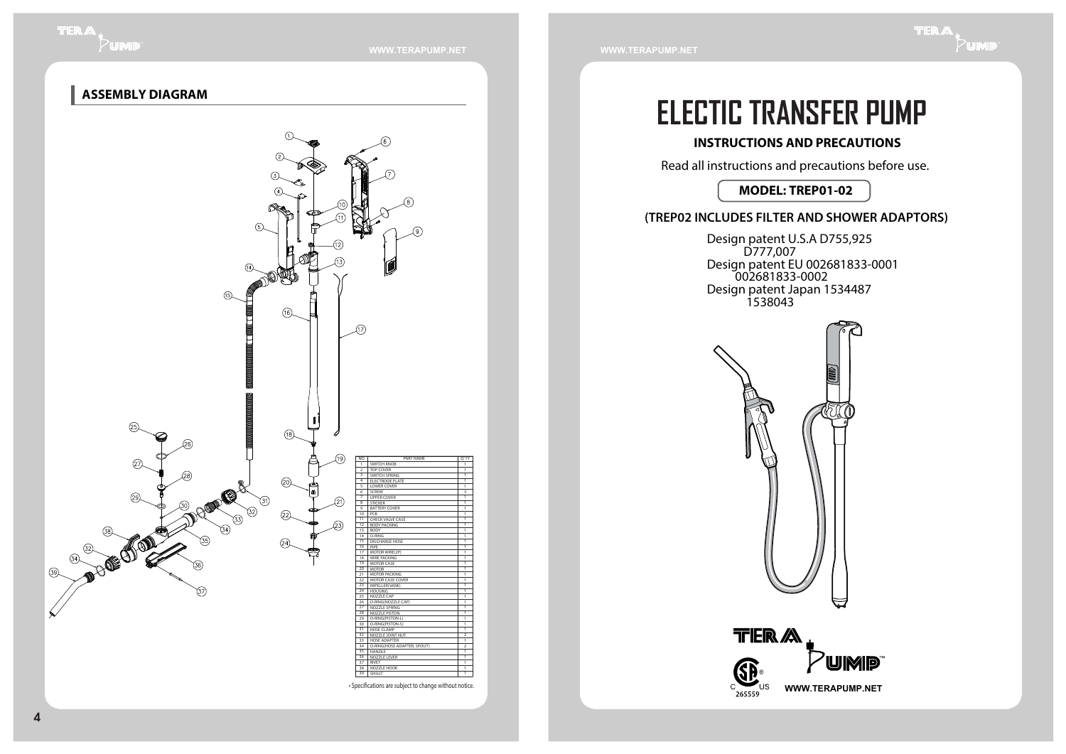**WWW.TERAPUMP.NET WWW.TERAPUMP.NET**

# **ELECTIC TRANSFER PUMP**

#### **INSTRUCTIONS AND PRECAUTIONS**

Read all instructions and precautions before use.

#### **MODEL: TREP01-02**

#### **(TREP02 INCLUDES FILTER AND SHOWER ADAPTORS)**

Design patent U.S.A D755,925 D777,007 Design patent EU 002681833-0001 002681833-0002 Design patent Japan 1534487 1538043